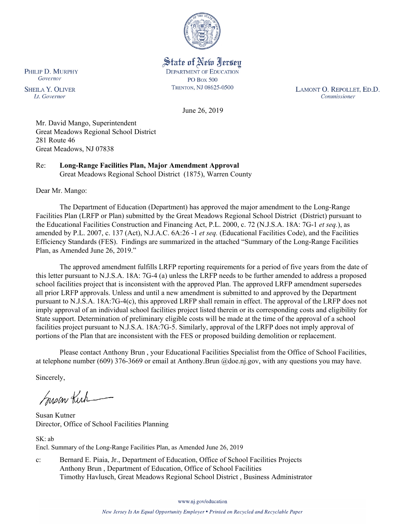

State of New Jersey **DEPARTMENT OF EDUCATION PO Box 500** TRENTON, NJ 08625-0500

LAMONT O. REPOLLET, ED.D. Commissioner

June 26, 2019

Mr. David Mango, Superintendent Great Meadows Regional School District 281 Route 46 Great Meadows, NJ 07838

Re: **Long-Range Facilities Plan, Major Amendment Approval** Great Meadows Regional School District (1875), Warren County

Dear Mr. Mango:

The Department of Education (Department) has approved the major amendment to the Long-Range Facilities Plan (LRFP or Plan) submitted by the Great Meadows Regional School District (District) pursuant to the Educational Facilities Construction and Financing Act, P.L. 2000, c. 72 (N.J.S.A. 18A: 7G-1 *et seq.*), as amended by P.L. 2007, c. 137 (Act), N.J.A.C. 6A:26 -1 *et seq.* (Educational Facilities Code), and the Facilities Efficiency Standards (FES). Findings are summarized in the attached "Summary of the Long-Range Facilities Plan, as Amended June 26, 2019."

The approved amendment fulfills LRFP reporting requirements for a period of five years from the date of this letter pursuant to N.J.S.A. 18A: 7G-4 (a) unless the LRFP needs to be further amended to address a proposed school facilities project that is inconsistent with the approved Plan. The approved LRFP amendment supersedes all prior LRFP approvals. Unless and until a new amendment is submitted to and approved by the Department pursuant to N.J.S.A. 18A:7G-4(c), this approved LRFP shall remain in effect. The approval of the LRFP does not imply approval of an individual school facilities project listed therein or its corresponding costs and eligibility for State support. Determination of preliminary eligible costs will be made at the time of the approval of a school facilities project pursuant to N.J.S.A. 18A:7G-5. Similarly, approval of the LRFP does not imply approval of portions of the Plan that are inconsistent with the FES or proposed building demolition or replacement.

Please contact Anthony Brun , your Educational Facilities Specialist from the Office of School Facilities, at telephone number (609) 376-3669 or email at Anthony.Brun @doe.nj.gov, with any questions you may have.

Sincerely,

Susan Kich

Susan Kutner Director, Office of School Facilities Planning

SK: ab Encl. Summary of the Long-Range Facilities Plan, as Amended June 26, 2019

c: Bernard E. Piaia, Jr., Department of Education, Office of School Facilities Projects Anthony Brun , Department of Education, Office of School Facilities Timothy Havlusch, Great Meadows Regional School District , Business Administrator

www.nj.gov/education

New Jersey Is An Equal Opportunity Employer . Printed on Recycled and Recyclable Paper

PHILIP D. MURPHY Governor

**SHEILA Y. OLIVER** Lt. Governor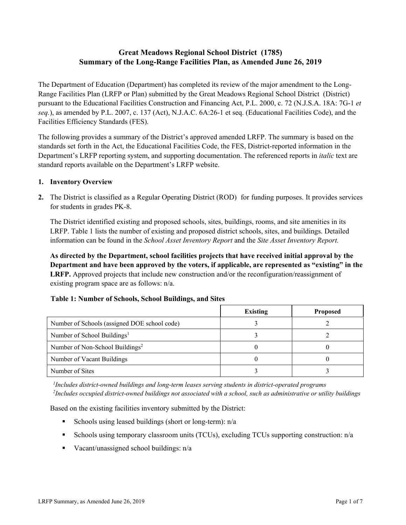# **Great Meadows Regional School District (1785) Summary of the Long-Range Facilities Plan, as Amended June 26, 2019**

The Department of Education (Department) has completed its review of the major amendment to the Long-Range Facilities Plan (LRFP or Plan) submitted by the Great Meadows Regional School District (District) pursuant to the Educational Facilities Construction and Financing Act, P.L. 2000, c. 72 (N.J.S.A. 18A: 7G-1 *et seq.*), as amended by P.L. 2007, c. 137 (Act), N.J.A.C. 6A:26-1 et seq. (Educational Facilities Code), and the Facilities Efficiency Standards (FES).

The following provides a summary of the District's approved amended LRFP. The summary is based on the standards set forth in the Act, the Educational Facilities Code, the FES, District-reported information in the Department's LRFP reporting system, and supporting documentation. The referenced reports in *italic* text are standard reports available on the Department's LRFP website.

### **1. Inventory Overview**

**2.** The District is classified as a Regular Operating District (ROD) for funding purposes. It provides services for students in grades PK-8.

The District identified existing and proposed schools, sites, buildings, rooms, and site amenities in its LRFP. Table 1 lists the number of existing and proposed district schools, sites, and buildings. Detailed information can be found in the *School Asset Inventory Report* and the *Site Asset Inventory Report.*

**As directed by the Department, school facilities projects that have received initial approval by the Department and have been approved by the voters, if applicable, are represented as "existing" in the LRFP.** Approved projects that include new construction and/or the reconfiguration/reassignment of existing program space are as follows: n/a.

|                                              | <b>Existing</b> | <b>Proposed</b> |
|----------------------------------------------|-----------------|-----------------|
| Number of Schools (assigned DOE school code) |                 |                 |
| Number of School Buildings <sup>1</sup>      |                 |                 |
| Number of Non-School Buildings <sup>2</sup>  |                 |                 |
| Number of Vacant Buildings                   |                 |                 |
| Number of Sites                              |                 |                 |

# **Table 1: Number of Schools, School Buildings, and Sites**

*1 Includes district-owned buildings and long-term leases serving students in district-operated programs 2 Includes occupied district-owned buildings not associated with a school, such as administrative or utility buildings*

Based on the existing facilities inventory submitted by the District:

- Schools using leased buildings (short or long-term):  $n/a$
- Schools using temporary classroom units (TCUs), excluding TCUs supporting construction: n/a
- Vacant/unassigned school buildings:  $n/a$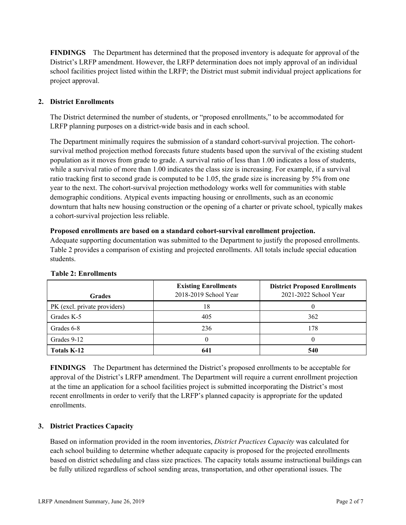**FINDINGS** The Department has determined that the proposed inventory is adequate for approval of the District's LRFP amendment. However, the LRFP determination does not imply approval of an individual school facilities project listed within the LRFP; the District must submit individual project applications for project approval.

# **2. District Enrollments**

The District determined the number of students, or "proposed enrollments," to be accommodated for LRFP planning purposes on a district-wide basis and in each school.

The Department minimally requires the submission of a standard cohort-survival projection. The cohortsurvival method projection method forecasts future students based upon the survival of the existing student population as it moves from grade to grade. A survival ratio of less than 1.00 indicates a loss of students, while a survival ratio of more than 1.00 indicates the class size is increasing. For example, if a survival ratio tracking first to second grade is computed to be 1.05, the grade size is increasing by 5% from one year to the next. The cohort-survival projection methodology works well for communities with stable demographic conditions. Atypical events impacting housing or enrollments, such as an economic downturn that halts new housing construction or the opening of a charter or private school, typically makes a cohort-survival projection less reliable.

#### **Proposed enrollments are based on a standard cohort-survival enrollment projection.**

Adequate supporting documentation was submitted to the Department to justify the proposed enrollments. Table 2 provides a comparison of existing and projected enrollments. All totals include special education students.

| <b>Grades</b>                | <b>Existing Enrollments</b><br>2018-2019 School Year | <b>District Proposed Enrollments</b><br>2021-2022 School Year |
|------------------------------|------------------------------------------------------|---------------------------------------------------------------|
| PK (excl. private providers) | 18                                                   |                                                               |
| Grades K-5                   | 405                                                  | 362                                                           |
| Grades 6-8                   | 236                                                  | 178                                                           |
| Grades 9-12                  |                                                      |                                                               |
| Totals K-12                  | 641                                                  | 540                                                           |

#### **Table 2: Enrollments**

**FINDINGS** The Department has determined the District's proposed enrollments to be acceptable for approval of the District's LRFP amendment. The Department will require a current enrollment projection at the time an application for a school facilities project is submitted incorporating the District's most recent enrollments in order to verify that the LRFP's planned capacity is appropriate for the updated enrollments.

# **3. District Practices Capacity**

Based on information provided in the room inventories, *District Practices Capacity* was calculated for each school building to determine whether adequate capacity is proposed for the projected enrollments based on district scheduling and class size practices. The capacity totals assume instructional buildings can be fully utilized regardless of school sending areas, transportation, and other operational issues. The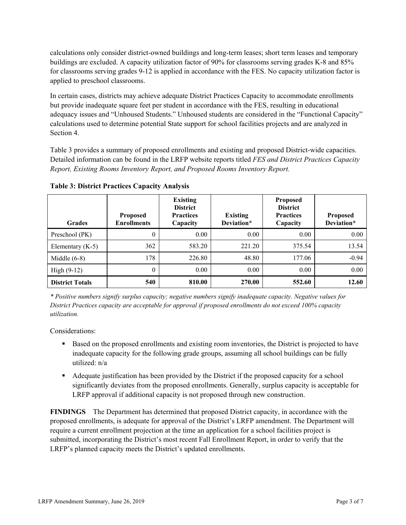calculations only consider district-owned buildings and long-term leases; short term leases and temporary buildings are excluded. A capacity utilization factor of 90% for classrooms serving grades K-8 and 85% for classrooms serving grades 9-12 is applied in accordance with the FES. No capacity utilization factor is applied to preschool classrooms.

In certain cases, districts may achieve adequate District Practices Capacity to accommodate enrollments but provide inadequate square feet per student in accordance with the FES, resulting in educational adequacy issues and "Unhoused Students." Unhoused students are considered in the "Functional Capacity" calculations used to determine potential State support for school facilities projects and are analyzed in Section 4.

Table 3 provides a summary of proposed enrollments and existing and proposed District-wide capacities. Detailed information can be found in the LRFP website reports titled *FES and District Practices Capacity Report, Existing Rooms Inventory Report, and Proposed Rooms Inventory Report.*

| <b>Grades</b>          | <b>Proposed</b><br><b>Enrollments</b> | <b>Existing</b><br><b>District</b><br><b>Practices</b><br>Capacity | <b>Existing</b><br>Deviation* | <b>Proposed</b><br><b>District</b><br><b>Practices</b><br>Capacity | <b>Proposed</b><br>Deviation* |
|------------------------|---------------------------------------|--------------------------------------------------------------------|-------------------------------|--------------------------------------------------------------------|-------------------------------|
| Preschool (PK)         | 0                                     | 0.00                                                               | 0.00                          | 0.00                                                               | 0.00                          |
| Elementary $(K-5)$     | 362                                   | 583.20                                                             | 221.20                        | 375.54                                                             | 13.54                         |
| Middle $(6-8)$         | 178                                   | 226.80                                                             | 48.80                         | 177.06                                                             | $-0.94$                       |
| High $(9-12)$          | $\theta$                              | 0.00                                                               | 0.00                          | 0.00                                                               | 0.00                          |
| <b>District Totals</b> | 540                                   | 810.00                                                             | 270.00                        | 552.60                                                             | 12.60                         |

**Table 3: District Practices Capacity Analysis**

*\* Positive numbers signify surplus capacity; negative numbers signify inadequate capacity. Negative values for District Practices capacity are acceptable for approval if proposed enrollments do not exceed 100% capacity utilization.*

Considerations:

- Based on the proposed enrollments and existing room inventories, the District is projected to have inadequate capacity for the following grade groups, assuming all school buildings can be fully utilized: n/a
- Adequate justification has been provided by the District if the proposed capacity for a school significantly deviates from the proposed enrollments. Generally, surplus capacity is acceptable for LRFP approval if additional capacity is not proposed through new construction.

**FINDINGS**The Department has determined that proposed District capacity, in accordance with the proposed enrollments, is adequate for approval of the District's LRFP amendment. The Department will require a current enrollment projection at the time an application for a school facilities project is submitted, incorporating the District's most recent Fall Enrollment Report, in order to verify that the LRFP's planned capacity meets the District's updated enrollments.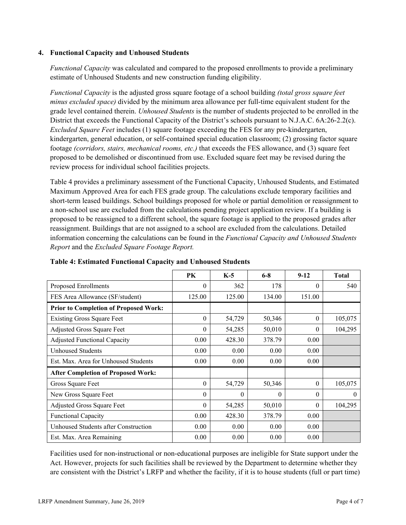### **4. Functional Capacity and Unhoused Students**

*Functional Capacity* was calculated and compared to the proposed enrollments to provide a preliminary estimate of Unhoused Students and new construction funding eligibility.

*Functional Capacity* is the adjusted gross square footage of a school building *(total gross square feet minus excluded space)* divided by the minimum area allowance per full-time equivalent student for the grade level contained therein. *Unhoused Students* is the number of students projected to be enrolled in the District that exceeds the Functional Capacity of the District's schools pursuant to N.J.A.C. 6A:26-2.2(c). *Excluded Square Feet* includes (1) square footage exceeding the FES for any pre-kindergarten, kindergarten, general education, or self-contained special education classroom; (2) grossing factor square footage *(corridors, stairs, mechanical rooms, etc.)* that exceeds the FES allowance, and (3) square feet proposed to be demolished or discontinued from use. Excluded square feet may be revised during the review process for individual school facilities projects.

Table 4 provides a preliminary assessment of the Functional Capacity, Unhoused Students, and Estimated Maximum Approved Area for each FES grade group. The calculations exclude temporary facilities and short-term leased buildings. School buildings proposed for whole or partial demolition or reassignment to a non-school use are excluded from the calculations pending project application review. If a building is proposed to be reassigned to a different school, the square footage is applied to the proposed grades after reassignment. Buildings that are not assigned to a school are excluded from the calculations. Detailed information concerning the calculations can be found in the *Functional Capacity and Unhoused Students Report* and the *Excluded Square Footage Report.*

|                                              | <b>PK</b> | $K-5$    | $6 - 8$  | $9-12$   | <b>Total</b> |
|----------------------------------------------|-----------|----------|----------|----------|--------------|
| Proposed Enrollments                         | 0         | 362      | 178      | $\theta$ | 540          |
| FES Area Allowance (SF/student)              | 125.00    | 125.00   | 134.00   | 151.00   |              |
| <b>Prior to Completion of Proposed Work:</b> |           |          |          |          |              |
| <b>Existing Gross Square Feet</b>            | $\theta$  | 54,729   | 50,346   | $\theta$ | 105,075      |
| Adjusted Gross Square Feet                   | 0         | 54,285   | 50,010   | $\theta$ | 104,295      |
| <b>Adjusted Functional Capacity</b>          | 0.00      | 428.30   | 378.79   | 0.00     |              |
| <b>Unhoused Students</b>                     | 0.00      | 0.00     | 0.00     | 0.00     |              |
| Est. Max. Area for Unhoused Students         | 0.00      | 0.00     | 0.00     | 0.00     |              |
| <b>After Completion of Proposed Work:</b>    |           |          |          |          |              |
| Gross Square Feet                            | $\theta$  | 54,729   | 50,346   | $\theta$ | 105,075      |
| New Gross Square Feet                        | $\Omega$  | $\Omega$ | $\theta$ | $\Omega$ | $\theta$     |
| Adjusted Gross Square Feet                   | 0         | 54,285   | 50,010   | $\Omega$ | 104,295      |
| <b>Functional Capacity</b>                   | 0.00      | 428.30   | 378.79   | 0.00     |              |
| Unhoused Students after Construction         | 0.00      | 0.00     | 0.00     | 0.00     |              |
| Est. Max. Area Remaining                     | 0.00      | 0.00     | 0.00     | 0.00     |              |

**Table 4: Estimated Functional Capacity and Unhoused Students** 

Facilities used for non-instructional or non-educational purposes are ineligible for State support under the Act. However, projects for such facilities shall be reviewed by the Department to determine whether they are consistent with the District's LRFP and whether the facility, if it is to house students (full or part time)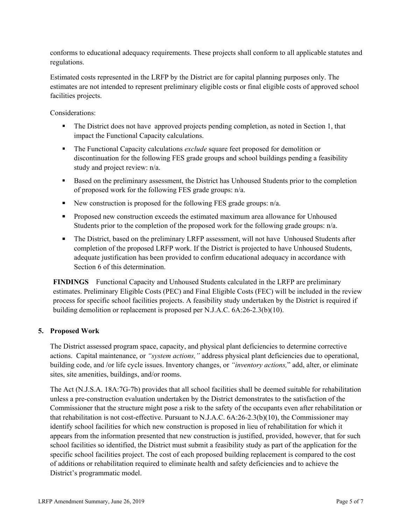conforms to educational adequacy requirements. These projects shall conform to all applicable statutes and regulations.

Estimated costs represented in the LRFP by the District are for capital planning purposes only. The estimates are not intended to represent preliminary eligible costs or final eligible costs of approved school facilities projects.

Considerations:

- The District does not have approved projects pending completion, as noted in Section 1, that impact the Functional Capacity calculations.
- **The Functional Capacity calculations** *exclude* square feet proposed for demolition or discontinuation for the following FES grade groups and school buildings pending a feasibility study and project review: n/a.
- Based on the preliminary assessment, the District has Unhoused Students prior to the completion of proposed work for the following FES grade groups: n/a.
- New construction is proposed for the following FES grade groups:  $n/a$ .
- **Proposed new construction exceeds the estimated maximum area allowance for Unhoused** Students prior to the completion of the proposed work for the following grade groups: n/a.
- The District, based on the preliminary LRFP assessment, will not have Unhoused Students after completion of the proposed LRFP work. If the District is projected to have Unhoused Students, adequate justification has been provided to confirm educational adequacy in accordance with Section 6 of this determination.

**FINDINGS** Functional Capacity and Unhoused Students calculated in the LRFP are preliminary estimates. Preliminary Eligible Costs (PEC) and Final Eligible Costs (FEC) will be included in the review process for specific school facilities projects. A feasibility study undertaken by the District is required if building demolition or replacement is proposed per N.J.A.C. 6A:26-2.3(b)(10).

# **5. Proposed Work**

The District assessed program space, capacity, and physical plant deficiencies to determine corrective actions. Capital maintenance, or *"system actions,"* address physical plant deficiencies due to operational, building code, and /or life cycle issues. Inventory changes, or *"inventory actions,*" add, alter, or eliminate sites, site amenities, buildings, and/or rooms.

The Act (N.J.S.A. 18A:7G-7b) provides that all school facilities shall be deemed suitable for rehabilitation unless a pre-construction evaluation undertaken by the District demonstrates to the satisfaction of the Commissioner that the structure might pose a risk to the safety of the occupants even after rehabilitation or that rehabilitation is not cost-effective. Pursuant to N.J.A.C. 6A:26-2.3(b)(10), the Commissioner may identify school facilities for which new construction is proposed in lieu of rehabilitation for which it appears from the information presented that new construction is justified, provided, however, that for such school facilities so identified, the District must submit a feasibility study as part of the application for the specific school facilities project. The cost of each proposed building replacement is compared to the cost of additions or rehabilitation required to eliminate health and safety deficiencies and to achieve the District's programmatic model.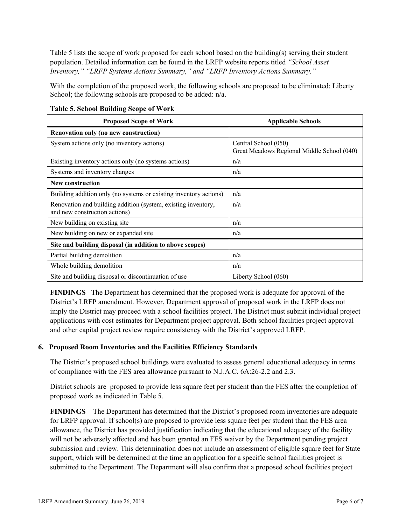Table 5 lists the scope of work proposed for each school based on the building(s) serving their student population. Detailed information can be found in the LRFP website reports titled *"School Asset Inventory," "LRFP Systems Actions Summary," and "LRFP Inventory Actions Summary."*

With the completion of the proposed work, the following schools are proposed to be eliminated: Liberty School; the following schools are proposed to be added:  $n/a$ .

| <b>Proposed Scope of Work</b>                                                                  | <b>Applicable Schools</b>                                          |
|------------------------------------------------------------------------------------------------|--------------------------------------------------------------------|
| Renovation only (no new construction)                                                          |                                                                    |
| System actions only (no inventory actions)                                                     | Central School (050)<br>Great Meadows Regional Middle School (040) |
| Existing inventory actions only (no systems actions)                                           | n/a                                                                |
| Systems and inventory changes                                                                  | n/a                                                                |
| <b>New construction</b>                                                                        |                                                                    |
| Building addition only (no systems or existing inventory actions)                              | n/a                                                                |
| Renovation and building addition (system, existing inventory,<br>and new construction actions) | n/a                                                                |
| New building on existing site                                                                  | n/a                                                                |
| New building on new or expanded site                                                           | n/a                                                                |
| Site and building disposal (in addition to above scopes)                                       |                                                                    |
| Partial building demolition                                                                    | n/a                                                                |
| Whole building demolition                                                                      | n/a                                                                |
| Site and building disposal or discontinuation of use                                           | Liberty School (060)                                               |

**Table 5. School Building Scope of Work**

**FINDINGS** The Department has determined that the proposed work is adequate for approval of the District's LRFP amendment. However, Department approval of proposed work in the LRFP does not imply the District may proceed with a school facilities project. The District must submit individual project applications with cost estimates for Department project approval. Both school facilities project approval and other capital project review require consistency with the District's approved LRFP.

#### **6. Proposed Room Inventories and the Facilities Efficiency Standards**

The District's proposed school buildings were evaluated to assess general educational adequacy in terms of compliance with the FES area allowance pursuant to N.J.A.C. 6A:26-2.2 and 2.3.

District schools are proposed to provide less square feet per student than the FES after the completion of proposed work as indicated in Table 5.

**FINDINGS** The Department has determined that the District's proposed room inventories are adequate for LRFP approval. If school(s) are proposed to provide less square feet per student than the FES area allowance, the District has provided justification indicating that the educational adequacy of the facility will not be adversely affected and has been granted an FES waiver by the Department pending project submission and review. This determination does not include an assessment of eligible square feet for State support, which will be determined at the time an application for a specific school facilities project is submitted to the Department. The Department will also confirm that a proposed school facilities project